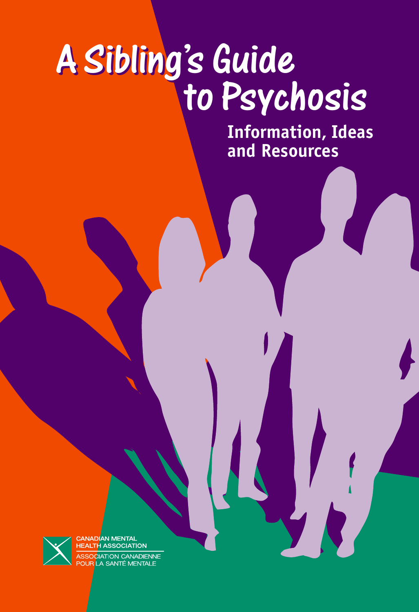# to Psychosis A Sibling's Guide

to Psychosis to Psychosis **Information, Ideas and Resources**



**ADIAN MENTAI HEALTH ASSOCIATION CIATION CANADIENNE** A SANTÉ MENTAI F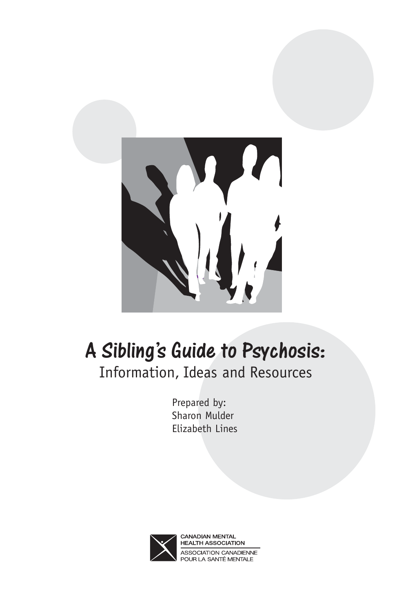

# A Sibling's Guide to Psychosis.<br>Information, Ideas and Resources

Prepared by: Sharon Mulder Elizabeth Lines



**CANADIAN MENTAL HEALTH ASSOCIATION** ASSOCIATION CANADIENNE POUR LA SANTÉ MENTALE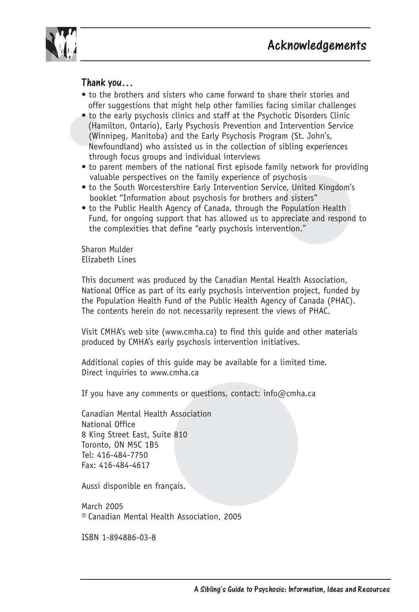

- to the brothers and sisters who came forward to share their stories and offer suggestions that might help other families facing similar challenges
- to the early psychosis clinics and staff at the Psychotic Disorders Clinic (Hamilton, Ontario), Early Psychosis Prevention and Intervention Service (Winnipeg, Manitoba) and the Early Psychosis Program (St. John's, Newfoundland) who assisted us in the collection of sibling experiences through focus groups and individual interviews
- to parent members of the national first episode family network for providing valuable perspectives on the family experience of psychosis
- to the South Worcestershire Early Intervention Service, United Kingdom's booklet "Information about psychosis for brothers and sisters"
- to the Public Health Agency of Canada, through the Population Health Fund, for ongoing support that has allowed us to appreciate and respond to the complexities that define "early psychosis intervention."

Sharon Mulder Elizabeth Lines

This document was produced by the Canadian Mental Health Association, National Office as part of its early psychosis intervention project, funded by the Population Health Fund of the Public Health Agency of Canada (PHAC). The contents herein do not necessarily represent the views of PHAC.

Visit CMHA's web site (www.cmha.ca) to find this guide and other materials produced by CMHA's early psychosis intervention initiatives.

Additional copies of this guide may be available for a limited time. Direct inquiries to www.cmha.ca

If you have any comments or questions, contact:  $info@cmba.ca$ 

Canadian Mental Health Association National Office 8 King Street East, Suite 810 Toronto, ON M5C 1B5 Tel: 416-484-7750 Fax: 416-484-4617

Aussi disponible en français.

March 2005 © Canadian Mental Health Association, 2005

ISBN 1-894886-03-8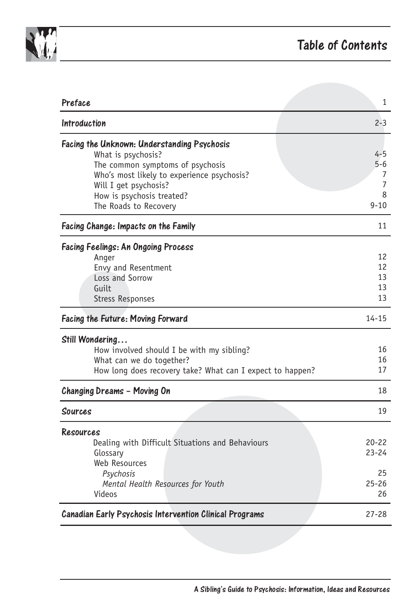

| Preface                                                                                                                                                                                                                            | 1                                               |
|------------------------------------------------------------------------------------------------------------------------------------------------------------------------------------------------------------------------------------|-------------------------------------------------|
| <b>Introduction</b>                                                                                                                                                                                                                | $2 - 3$                                         |
| Facing the Unknown: Understanding Psychosis<br>What is psychosis?<br>The common symptoms of psychosis<br>Who's most likely to experience psychosis?<br>Will I get psychosis?<br>How is psychosis treated?<br>The Roads to Recovery | $4 - 5$<br>$5 - 6$<br>7<br>7<br>8<br>$9 - 10$   |
| Facing Change: Impacts on the Family                                                                                                                                                                                               | 11                                              |
| <b>Facing Feelings: An Ongoing Process</b><br>Anger<br>Envy and Resentment<br>Loss and Sorrow<br>Guilt<br><b>Stress Responses</b>                                                                                                  | 12<br>12<br>13<br>13<br>13                      |
| <b>Facing the Future: Moving Forward</b>                                                                                                                                                                                           | $14 - 15$                                       |
| Still Wondering<br>How involved should I be with my sibling?<br>What can we do together?<br>How long does recovery take? What can I expect to happen?                                                                              | 16<br>16<br>17                                  |
| Changing Dreams - Moving On                                                                                                                                                                                                        | 18                                              |
| Sources                                                                                                                                                                                                                            | 19                                              |
| Resources<br>Dealing with Difficult Situations and Behaviours<br>Glossary<br>Web Resources<br>Psychosis<br>Mental Health Resources for Youth<br>Videos                                                                             | $20 - 22$<br>$23 - 24$<br>25<br>$25 - 26$<br>26 |
| <b>Canadian Early Psychosis Intervention Clinical Programs</b>                                                                                                                                                                     | $27 - 28$                                       |
|                                                                                                                                                                                                                                    |                                                 |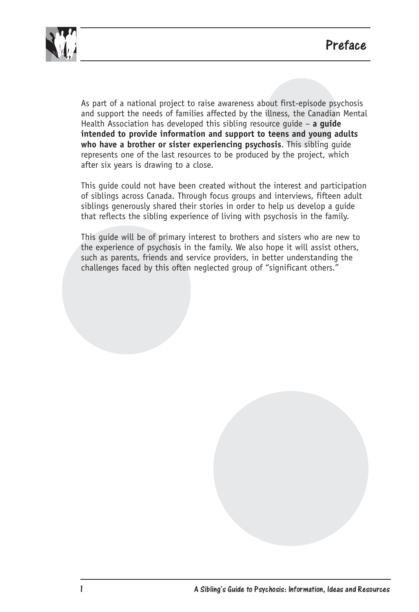

As part of a national project to raise awareness about first-episode psychosis and support the needs of families affected by the illness, the Canadian Mental Health Association has developed this sibling resource guide – **a guide intended to provide information and support to teens and young adults who have a brother or sister experiencing psychosis**. This sibling guide represents one of the last resources to be produced by the project, which after six years is drawing to a close.

This guide could not have been created without the interest and participation of siblings across Canada. Through focus groups and interviews, fifteen adult siblings generously shared their stories in order to help us develop a guide that reflects the sibling experience of living with psychosis in the family.

This guide will be of primary interest to brothers and sisters who are new to the experience of psychosis in the family. We also hope it will assist others, such as parents, friends and service providers, in better understanding the challenges faced by this often neglected group of "significant others."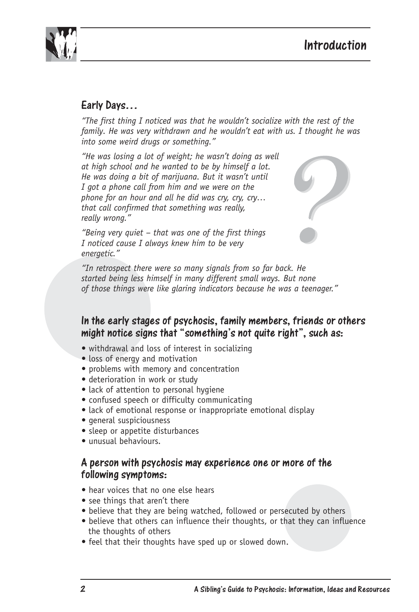

## Early Days…

*"The first thing I noticed was that he wouldn't socialize with the rest of the family. He was very withdrawn and he wouldn't eat with us. I thought he was into some weird drugs or something."*

*"He was losing a lot of weight; he wasn't doing as well at high school and he wanted to be by himself a lot. He was doing a bit of marijuana. But it wasn't until I got a phone call from him and we were on the phone for an hour and all he did was cry, cry, cry… that call confirmed that something was really, really wrong."*



*"Being very quiet – that was one of the first things I noticed cause I always knew him to be very energetic."*

*"In retrospect there were so many signals from so far back. He started being less himself in many different small ways. But none of those things were like glaring indicators because he was a teenager."*

## In the early stages of psychosis, family members, friends of others<br>might notice cigne that "comething's not quite right" such as.  $m$ ght notice signs that "something's not quite right", such as:

- withdrawal and loss of interest in socializing
- loss of energy and motivation
- problems with memory and concentration
- deterioration in work or study
- lack of attention to personal hygiene
- confused speech or difficulty communicating
- lack of emotional response or inappropriate emotional display
- general suspiciousness
- sleep or appetite disturbances
- unusual behaviours.

#### A person with psychosis may experience one or more of the following symptoms:

- hear voices that no one else hears
- see things that aren't there
- believe that they are being watched, followed or persecuted by others
- believe that others can influence their thoughts, or that they can influence the thoughts of others
- feel that their thoughts have sped up or slowed down.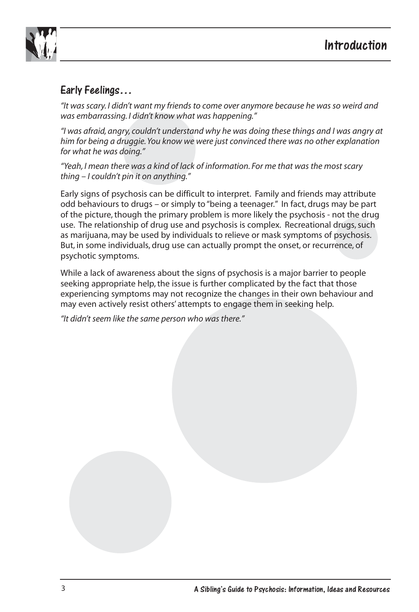

## Early Feelings…

*"It was scary. I didn't want my friends to come over anymore because he was so weird and was embarrassing. I didn't know what was happening."*

*"I was afraid, angry, couldn't understand why he was doing these things and I was angry at him for being a druggie. You know we were just convinced there was no other explanation for what he was doing."*

*"Yeah, I mean there was a kind of lack of information. For me that was the most scary thing – I couldn't pin it on anything."*

Early signs of psychosis can be difficult to interpret. Family and friends may attribute odd behaviours to drugs – or simply to "being a teenager." In fact, drugs may be part of the picture, though the primary problem is more likely the psychosis - not the drug use. The relationship of drug use and psychosis is complex. Recreational drugs, such as marijuana, may be used by individuals to relieve or mask symptoms of psychosis. But, in some individuals, drug use can actually prompt the onset, or recurrence, of psychotic symptoms.

While a lack of awareness about the signs of psychosis is a major barrier to people seeking appropriate help, the issue is further complicated by the fact that those experiencing symptoms may not recognize the changes in their own behaviour and may even actively resist others' attempts to engage them in seeking help.

*"It didn't seem like the same person who was there."*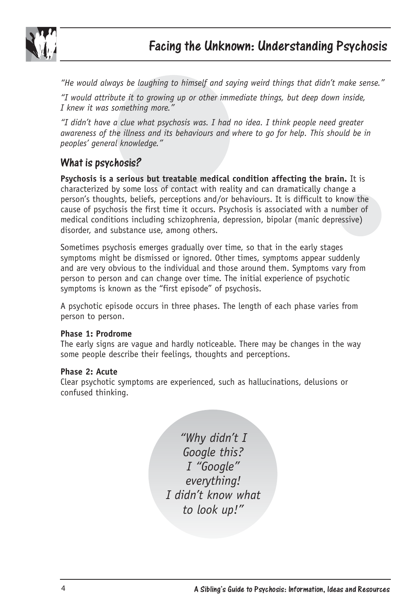

*"He would always be laughing to himself and saying weird things that didn't make sense."*

*"I would attribute it to growing up or other immediate things, but deep down inside, I knew it was something more."*

*"I didn't have a clue what psychosis was. I had no idea. I think people need greater awareness of the illness and its behaviours and where to go for help. This should be in peoples' general knowledge."*

## What is psychosis?

**Psychosis is a serious but treatable medical condition affecting the brain.** It is characterized by some loss of contact with reality and can dramatically change a person's thoughts, beliefs, perceptions and/or behaviours. It is difficult to know the cause of psychosis the first time it occurs. Psychosis is associated with a number of medical conditions including schizophrenia, depression, bipolar (manic depressive) disorder, and substance use, among others.

Sometimes psychosis emerges gradually over time, so that in the early stages symptoms might be dismissed or ignored. Other times, symptoms appear suddenly and are very obvious to the individual and those around them. Symptoms vary from person to person and can change over time. The initial experience of psychotic symptoms is known as the "first episode" of psychosis.

A psychotic episode occurs in three phases. The length of each phase varies from person to person.

#### **Phase 1: Prodrome**

The early signs are vague and hardly noticeable. There may be changes in the way some people describe their feelings, thoughts and perceptions.

#### **Phase 2: Acute**

Clear psychotic symptoms are experienced, such as hallucinations, delusions or confused thinking.

> *"Why didn't I Google this? I "Google" everything! I didn't know what to look up!"*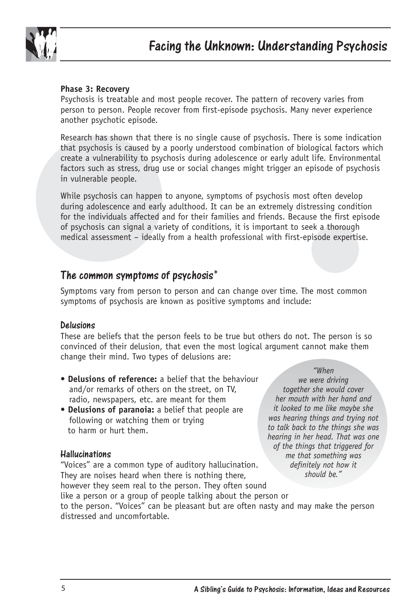

#### **Phase 3: Recovery**

Psychosis is treatable and most people recover. The pattern of recovery varies from person to person. People recover from first-episode psychosis. Many never experience another psychotic episode.

Research has shown that there is no single cause of psychosis. There is some indication that psychosis is caused by a poorly understood combination of biological factors which create a vulnerability to psychosis during adolescence or early adult life. Environmental factors such as stress, drug use or social changes might trigger an episode of psychosis in vulnerable people.

While psychosis can happen to anyone, symptoms of psychosis most often develop during adolescence and early adulthood. It can be an extremely distressing condition for the individuals affected and for their families and friends. Because the first episode of psychosis can signal a variety of conditions, it is important to seek a thorough medical assessment – ideally from a health professional with first-episode expertise.

#### The common symptoms of psychosis\*

Symptoms vary from person to person and can change over time. The most common symptoms of psychosis are known as positive symptoms and include:

Delusions These are beliefs that the person feels to be true but others do not. The person is so convinced of their delusion, that even the most logical argument cannot make them change their mind. Two types of delusions are:

- **Delusions of reference:** a belief that the behaviour and/or remarks of others on the street, on TV, radio, newspapers, etc. are meant for them
- **Delusions of paranoia:** a belief that people are following or watching them or trying to harm or hurt them.

Hallucinations "Voices" are a common type of auditory hallucination. They are noises heard when there is nothing there, however they seem real to the person. They often sound

like a person or a group of people talking about the person or

*"When*

*we were driving together she would cover her mouth with her hand and it looked to me like maybe she was hearing things and trying not to talk back to the things she was hearing in her head. That was one of the things that triggered for me that something was definitely not how it should be."* 

to the person. "Voices" can be pleasant but are often nasty and may make the person distressed and uncomfortable.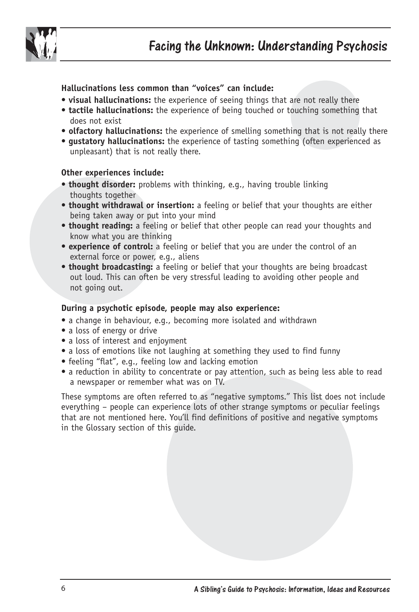

**Hallucinations less common than "voices" can include:**

- **visual hallucinations:** the experience of seeing things that are not really there
- **tactile hallucinations:** the experience of being touched or touching something that does not exist
- **olfactory hallucinations:** the experience of smelling something that is not really there
- **gustatory hallucinations:** the experience of tasting something (often experienced as unpleasant) that is not really there.

#### **Other experiences include:**

- **thought disorder:** problems with thinking, e.g., having trouble linking thoughts together
- **thought withdrawal or insertion:** a feeling or belief that your thoughts are either being taken away or put into your mind
- **thought reading:** a feeling or belief that other people can read your thoughts and know what you are thinking
- **experience of control:** a feeling or belief that you are under the control of an external force or power, e.g., aliens
- **thought broadcasting:** a feeling or belief that your thoughts are being broadcast out loud. This can often be very stressful leading to avoiding other people and not going out.

#### **During a psychotic episode, people may also experience:**

- a change in behaviour, e.g., becoming more isolated and withdrawn
- a loss of energy or drive
- a loss of interest and enjoyment
- a loss of emotions like not laughing at something they used to find funny
- feeling "flat", e.g., feeling low and lacking emotion
- a reduction in ability to concentrate or pay attention, such as being less able to read a newspaper or remember what was on TV.

These symptoms are often referred to as "negative symptoms." This list does not include everything – people can experience lots of other strange symptoms or peculiar feelings that are not mentioned here. You'll find definitions of positive and negative symptoms in the Glossary section of this guide.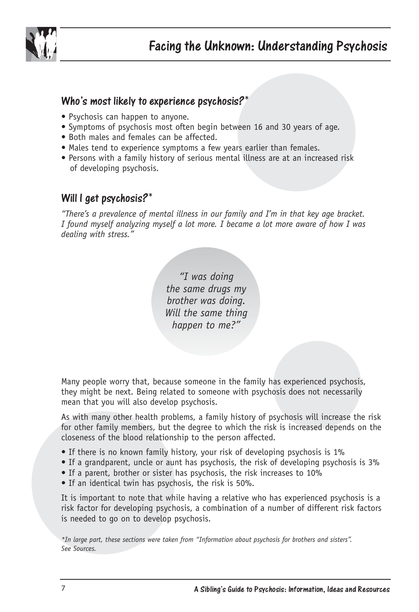

#### Who's most likely to experience psychosis?\*

- Psychosis can happen to anyone.
- Symptoms of psychosis most often begin between 16 and 30 years of age.
- Both males and females can be affected.
- Males tend to experience symptoms a few years earlier than females.
- Persons with a family history of serious mental illness are at an increased risk of developing psychosis.

#### Will I get psychosis?\*

*"There's a prevalence of mental illness in our family and I'm in that key age bracket. I found myself analyzing myself a lot more. I became a lot more aware of how I was dealing with stress."* 

> *"I was doing the same drugs my brother was doing. Will the same thing happen to me?"*

Many people worry that, because someone in the family has experienced psychosis, they might be next. Being related to someone with psychosis does not necessarily mean that you will also develop psychosis.

As with many other health problems, a family history of psychosis will increase the risk for other family members, but the degree to which the risk is increased depends on the closeness of the blood relationship to the person affected.

- If there is no known family history, your risk of developing psychosis is 1%
- If a grandparent, uncle or aunt has psychosis, the risk of developing psychosis is 3%
- If a parent, brother or sister has psychosis, the risk increases to 10%
- If an identical twin has psychosis, the risk is 50%.

It is important to note that while having a relative who has experienced psychosis is a risk factor for developing psychosis, a combination of a number of different risk factors is needed to go on to develop psychosis.

*\*In large part, these sections were taken from "Information about psychosis for brothers and sisters". See Sources.*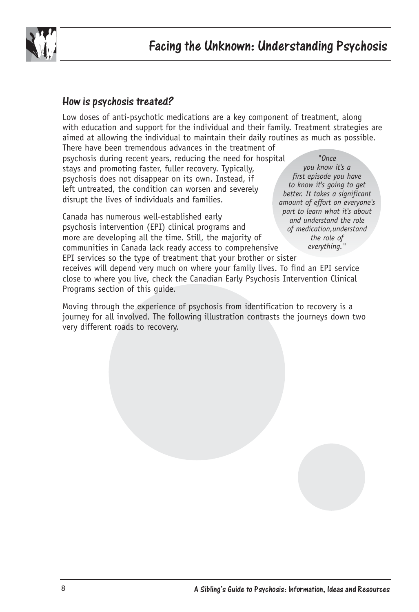

#### How is psychosis treated?

Low doses of anti-psychotic medications are a key component of treatment, along with education and support for the individual and their family. Treatment strategies are aimed at allowing the individual to maintain their daily routines as much as possible.

There have been tremendous advances in the treatment of psychosis during recent years, reducing the need for hospital stays and promoting faster, fuller recovery. Typically, psychosis does not disappear on its own. Instead, if left untreated, the condition can worsen and severely disrupt the lives of individuals and families.

Canada has numerous well-established early psychosis intervention (EPI) clinical programs and more are developing all the time. Still, the majority of communities in Canada lack ready access to comprehensive

*"Once you know it's a first episode you have to know it's going to get better. It takes a significant amount of effort on everyone's part to learn what it's about and understand the role of medication,understand the role of everything."*

EPI services so the type of treatment that your brother or sister receives will depend very much on where your family lives. To find an EPI service close to where you live, check the Canadian Early Psychosis Intervention Clinical Programs section of this guide.

Moving through the experience of psychosis from identification to recovery is a journey for all involved. The following illustration contrasts the journeys down two very different roads to recovery.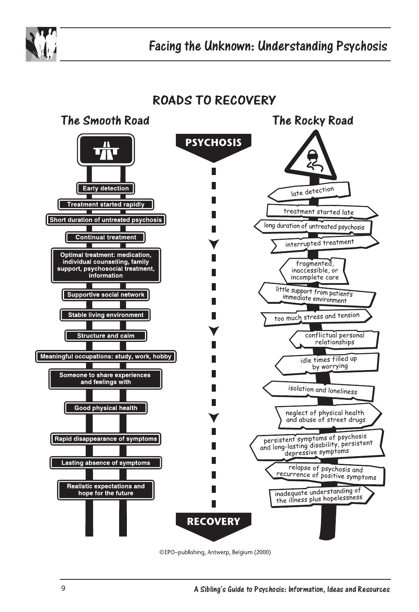

## **ROADS TO RECOVERY**



©EPO-publishing, Antwerp, Belgium (2000)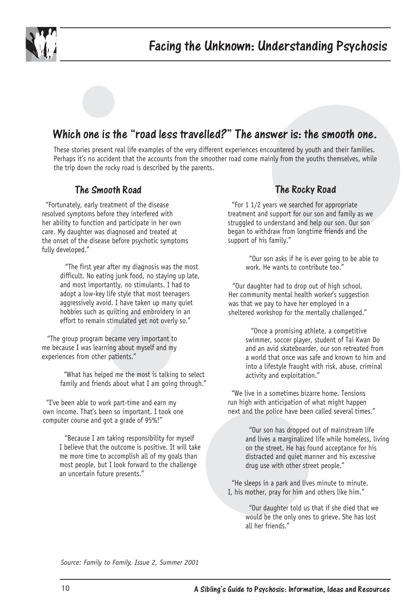

The answer is. The smooth one is the Tread less travelled? The answer is: the smooth one.<br>These stories present real life examples of the very different experiences encountered by youth and their families. Perhaps it's no accident that the accounts from the smoother road come mainly from the youths themselves, while the trip down the rocky road is described by the parents.

"Fortunately, early treatment of the disease" resolved symptoms before they interfered with her ability to function and participate in her own care. My daughter was diagnosed and treated at the onset of the disease before psychotic symptoms fully developed."

> "The first year after my diagnosis was the most difficult. No eating junk food, no staying up late, and most importantly, no stimulants. I had to adopt a low-key life style that most teenagers aggressively avoid. I have taken up many quiet hobbies such as quilting and embroidery in an effort to remain stimulated yet not overly so."

"The group program became very important to me because I was learning about myself and my experiences from other patients."

> "What has helped me the most is talking to select family and friends about what I am going through."

"I've been able to work part-time and earn my own income. That's been so important. I took one computer course and got a grade of 95%!"

> "Because I am taking responsibility for myself I believe that the outcome is positive. It will take me more time to accomplish all of my goals than most people, but I look forward to the challenge an uncertain future presents."

#### The Rocky Road

 "For 1 1/2 years we searched for appropriate treatment and support for our son and family as we struggled to understand and help our son. Our son began to withdraw from longtime friends and the support of his family."

> "Our son asks if he is ever going to be able to work. He wants to contribute too."

 "Our daughter had to drop out of high school. Her community mental health worker's suggestion was that we pay to have her employed in a sheltered workshop for the mentally challenged."

> "Once a promising athlete, a competitive swimmer, soccer player, student of Tai Kwan Do and an avid skateboarder, our son retreated from a world that once was safe and known to him and into a lifestyle fraught with risk, abuse, criminal activity and exploitation."

 "We live in a sometimes bizarre home. Tensions run high with anticipation of what might happen next and the police have been called several times."

> "Our son has dropped out of mainstream life and lives a marginalized life while homeless, living on the street. He has found acceptance for his distracted and quiet manner and his excessive drug use with other street people."

 "He sleeps in a park and lives minute to minute. I, his mother, pray for him and others like him."

> "Our daughter told us that if she died that we would be the only ones to grieve. She has lost all her friends."

*Source: Family to Family, Issue 2, Summer 2001*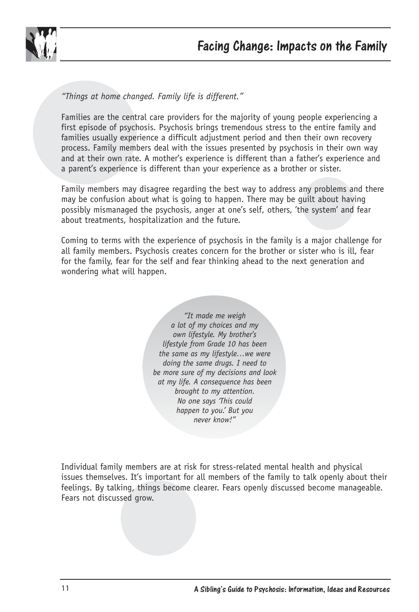

*"Things at home changed. Family life is different."* 

Families are the central care providers for the majority of young people experiencing a first episode of psychosis. Psychosis brings tremendous stress to the entire family and families usually experience a difficult adjustment period and then their own recovery process. Family members deal with the issues presented by psychosis in their own way and at their own rate. A mother's experience is different than a father's experience and a parent's experience is different than your experience as a brother or sister.

Family members may disagree regarding the best way to address any problems and there may be confusion about what is going to happen. There may be guilt about having possibly mismanaged the psychosis, anger at one's self, others, 'the system' and fear about treatments, hospitalization and the future.

Coming to terms with the experience of psychosis in the family is a major challenge for all family members. Psychosis creates concern for the brother or sister who is ill, fear for the family, fear for the self and fear thinking ahead to the next generation and wondering what will happen.

> *"It made me weigh a lot of my choices and my own lifestyle. My brother's lifestyle from Grade 10 has been the same as my lifestyle…we were doing the same drugs. I need to be more sure of my decisions and look at my life. A consequence has been brought to my attention. No one says 'This could happen to you.' But you never know!"*

Individual family members are at risk for stress-related mental health and physical issues themselves. It's important for all members of the family to talk openly about their feelings. By talking, things become clearer. Fears openly discussed become manageable. Fears not discussed grow.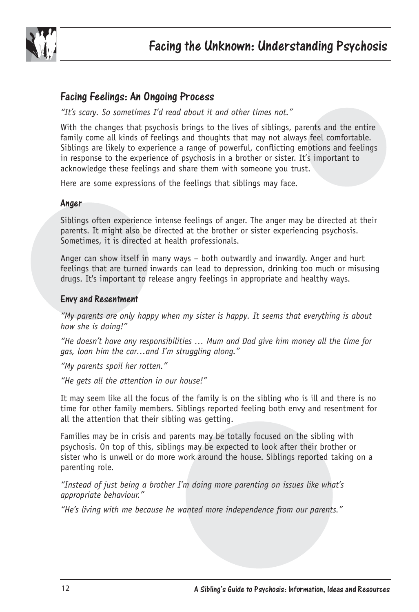

Facing Feelings: An Ongoing Process *"It's scary. So sometimes I'd read about it and other times not."* 

With the changes that psychosis brings to the lives of siblings, parents and the entire family come all kinds of feelings and thoughts that may not always feel comfortable. Siblings are likely to experience a range of powerful, conflicting emotions and feelings in response to the experience of psychosis in a brother or sister. It's important to acknowledge these feelings and share them with someone you trust.

Here are some expressions of the feelings that siblings may face.

#### Anger

Siblings often experience intense feelings of anger. The anger may be directed at their parents. It might also be directed at the brother or sister experiencing psychosis. Sometimes, it is directed at health professionals.

Anger can show itself in many ways – both outwardly and inwardly. Anger and hurt feelings that are turned inwards can lead to depression, drinking too much or misusing drugs. It's important to release angry feelings in appropriate and healthy ways.

#### Envy and Resentment

*"My parents are only happy when my sister is happy. It seems that everything is about how she is doing!"*

*"He doesn't have any responsibilities … Mum and Dad give him money all the time for gas, loan him the car…and I'm struggling along."*

*"My parents spoil her rotten."* 

*"He gets all the attention in our house!"*

It may seem like all the focus of the family is on the sibling who is ill and there is no time for other family members. Siblings reported feeling both envy and resentment for all the attention that their sibling was getting.

Families may be in crisis and parents may be totally focused on the sibling with psychosis. On top of this, siblings may be expected to look after their brother or sister who is unwell or do more work around the house. Siblings reported taking on a parenting role.

*"Instead of just being a brother I'm doing more parenting on issues like what's appropriate behaviour."* 

*"He's living with me because he wanted more independence from our parents."*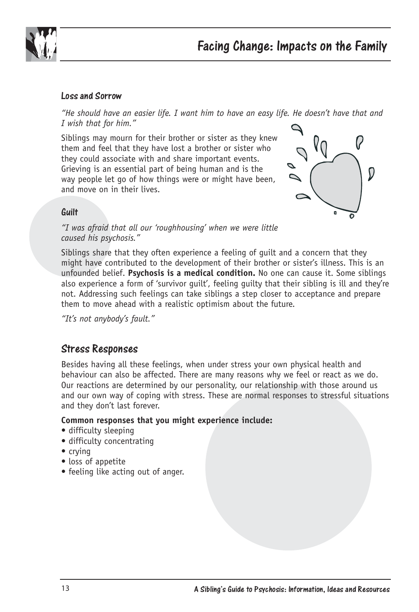

#### Loss and Sorrow

*"He should have an easier life. I want him to have an easy life. He doesn't have that and I wish that for him."* 

Siblings may mourn for their brother or sister as they knew them and feel that they have lost a brother or sister who they could associate with and share important events. Grieving is an essential part of being human and is the way people let go of how things were or might have been, and move on in their lives.



# uulli<br>...

*"I was afraid that all our 'roughhousing' when we were little caused his psychosis."* 

Siblings share that they often experience a feeling of guilt and a concern that they might have contributed to the development of their brother or sister's illness. This is an unfounded belief. **Psychosis is a medical condition.** No one can cause it. Some siblings also experience a form of 'survivor guilt', feeling guilty that their sibling is ill and they're not. Addressing such feelings can take siblings a step closer to acceptance and prepare them to move ahead with a realistic optimism about the future.

*"It's not anybody's fault."* 

#### Stress Responses

Besides having all these feelings, when under stress your own physical health and behaviour can also be affected. There are many reasons why we feel or react as we do. Our reactions are determined by our personality, our relationship with those around us and our own way of coping with stress. These are normal responses to stressful situations and they don't last forever.

#### **Common responses that you might experience include:**

- difficulty sleeping
- difficulty concentrating
- crying
- loss of appetite
- feeling like acting out of anger.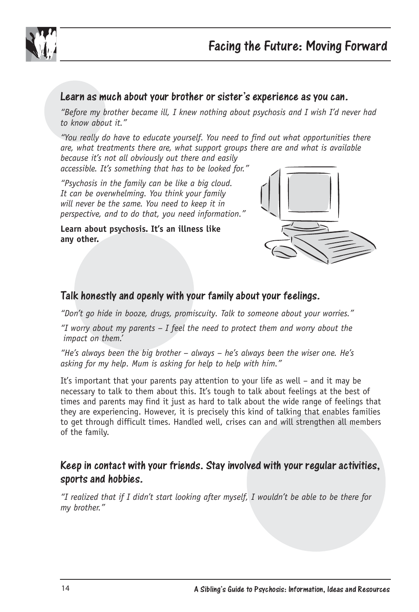

Learn as much about your brother or sister's experience as you can. *"Before my brother became ill, I knew nothing about psychosis and I wish I'd never had to know about it."*

*"You really do have to educate yourself. You need to find out what opportunities there are, what treatments there are, what support groups there are and what is available because it's not all obviously out there and easily* 

*accessible. It's something that has to be looked for."*

*"Psychosis in the family can be like a big cloud. It can be overwhelming. You think your family will never be the same. You need to keep it in perspective, and to do that, you need information."*

**Learn about psychosis. It's an illness like any other.**



#### Talk honestly and openly with your family about your feelings.

*"Don't go hide in booze, drugs, promiscuity. Talk to someone about your worries."* 

*"I worry about my parents – I feel the need to protect them and worry about the impact on them.'*

*"He's always been the big brother – always – he's always been the wiser one. He's asking for my help. Mum is asking for help to help with him."* 

It's important that your parents pay attention to your life as well – and it may be necessary to talk to them about this. It's tough to talk about feelings at the best of times and parents may find it just as hard to talk about the wide range of feelings that they are experiencing. However, it is precisely this kind of talking that enables families to get through difficult times. Handled well, crises can and will strengthen all members of the family.

## Keep in contact with your friends. Stay involved with your regular activities, sports and hobbies.

*"I realized that if I didn't start looking after myself, I wouldn't be able to be there for my brother."*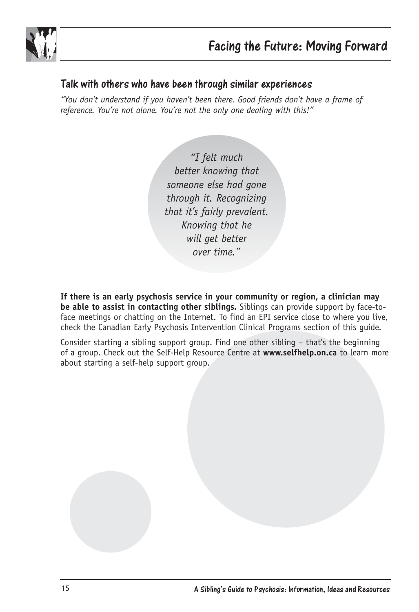

#### Talk with others who have been through similar experiences

*"You don't understand if you haven't been there. Good friends don't have a frame of reference. You're not alone. You're not the only one dealing with this!"* 

> *"I felt much better knowing that someone else had gone through it. Recognizing that it's fairly prevalent. Knowing that he will get better over time."*

**If there is an early psychosis service in your community or region, a clinician may be able to assist in contacting other siblings.** Siblings can provide support by face-toface meetings or chatting on the Internet. To find an EPI service close to where you live, check the Canadian Early Psychosis Intervention Clinical Programs section of this guide.

Consider starting a sibling support group. Find one other sibling – that's the beginning of a group. Check out the Self-Help Resource Centre at **www.selfhelp.on.ca** to learn more about starting a self-help support group.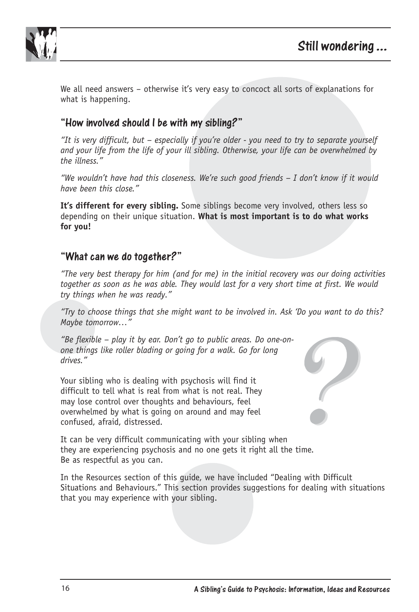

We all need answers – otherwise it's very easy to concoct all sorts of explanations for what is happening.

#### "How involved should I be with my sibling?"

*"It is very difficult, but – especially if you're older - you need to try to separate yourself and your life from the life of your ill sibling. Otherwise, your life can be overwhelmed by the illness."*

*"We wouldn't have had this closeness. We're such good friends – I don't know if it would have been this close."* 

**It's different for every sibling.** Some siblings become very involved, others less so depending on their unique situation. **What is most important is to do what works for you!**

#### "What can we do together?"

*"The very best therapy for him (and for me) in the initial recovery was our doing activities together as soon as he was able. They would last for a very short time at first. We would try things when he was ready."* 

*"Try to choose things that she might want to be involved in. Ask 'Do you want to do this? Maybe tomorrow…"* 

*"Be flexible – play it by ear. Don't go to public areas. Do one-onone things like roller blading or going for a walk. Go for long drives."*

Your sibling who is dealing with psychosis will find it difficult to tell what is real from what is not real. They may lose control over thoughts and behaviours, feel overwhelmed by what is going on around and may feel confused, afraid, distressed.



It can be very difficult communicating with your sibling when they are experiencing psychosis and no one gets it right all the time. Be as respectful as you can.

In the Resources section of this guide, we have included "Dealing with Difficult Situations and Behaviours." This section provides suggestions for dealing with situations that you may experience with your sibling.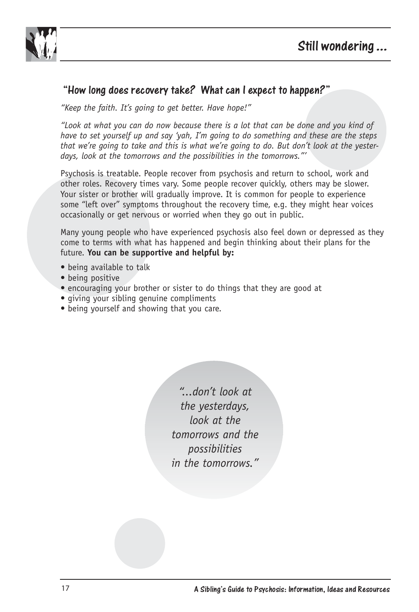



### "How long does recovery take? What can I expect to happen?"

*"Keep the faith. It's going to get better. Have hope!"*

*"Look at what you can do now because there is a lot that can be done and you kind of have to set yourself up and say 'yah, I'm going to do something and these are the steps that we're going to take and this is what we're going to do. But don't look at the yesterdays, look at the tomorrows and the possibilities in the tomorrows."'*

Psychosis is treatable. People recover from psychosis and return to school, work and other roles. Recovery times vary. Some people recover quickly, others may be slower. Your sister or brother will gradually improve. It is common for people to experience some "left over" symptoms throughout the recovery time, e.g. they might hear voices occasionally or get nervous or worried when they go out in public.

Many young people who have experienced psychosis also feel down or depressed as they come to terms with what has happened and begin thinking about their plans for the future. **You can be supportive and helpful by:** 

- being available to talk
- being positive
- encouraging your brother or sister to do things that they are good at
- giving your sibling genuine compliments
- being yourself and showing that you care.

*"...don't look at the yesterdays, look at the tomorrows and the possibilities in the tomorrows."*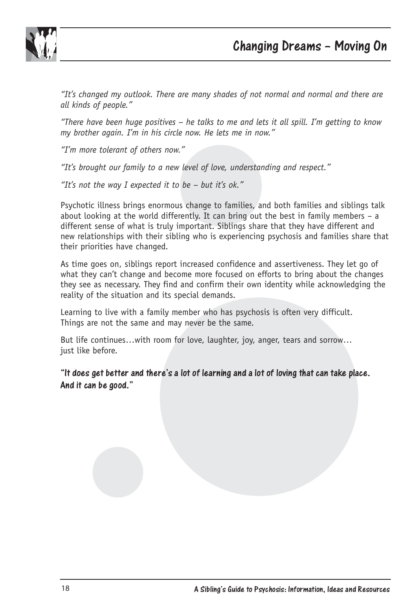

*"It's changed my outlook. There are many shades of not normal and normal and there are all kinds of people."* 

*"There have been huge positives – he talks to me and lets it all spill. I'm getting to know my brother again. I'm in his circle now. He lets me in now."*

*"I'm more tolerant of others now."*

*"It's brought our family to a new level of love, understanding and respect."*

*"It's not the way I expected it to be – but it's ok."*

Psychotic illness brings enormous change to families, and both families and siblings talk about looking at the world differently. It can bring out the best in family members – a different sense of what is truly important. Siblings share that they have different and new relationships with their sibling who is experiencing psychosis and families share that their priorities have changed.

As time goes on, siblings report increased confidence and assertiveness. They let go of what they can't change and become more focused on efforts to bring about the changes they see as necessary. They find and confirm their own identity while acknowledging the reality of the situation and its special demands.

Learning to live with a family member who has psychosis is often very difficult. Things are not the same and may never be the same.

But life continues…with room for love, laughter, joy, anger, tears and sorrow… just like before.

"It does get better and there's a lot of learning and a lot of loving that can take place. And it can be good."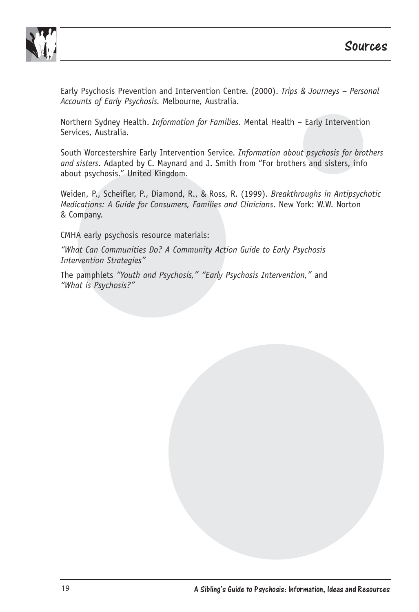

Early Psychosis Prevention and Intervention Centre. (2000). *Trips & Journeys – Personal Accounts of Early Psychosis.* Melbourne, Australia.

Northern Sydney Health. *Information for Families.* Mental Health – Early Intervention Services, Australia.

South Worcestershire Early Intervention Service. *Information about psychosis for brothers and sisters*. Adapted by C. Maynard and J. Smith from "For brothers and sisters, info about psychosis." United Kingdom.

Weiden, P., Scheifler, P., Diamond, R., & Ross, R. (1999). *Breakthroughs in Antipsychotic Medications: A Guide for Consumers, Families and Clinicians*. New York: W.W. Norton & Company.

CMHA early psychosis resource materials:

*"What Can Communities Do? A Community Action Guide to Early Psychosis Intervention Strategies"*

The pamphlets *"Youth and Psychosis," "Early Psychosis Intervention,"* and *"What is Psychosis?"*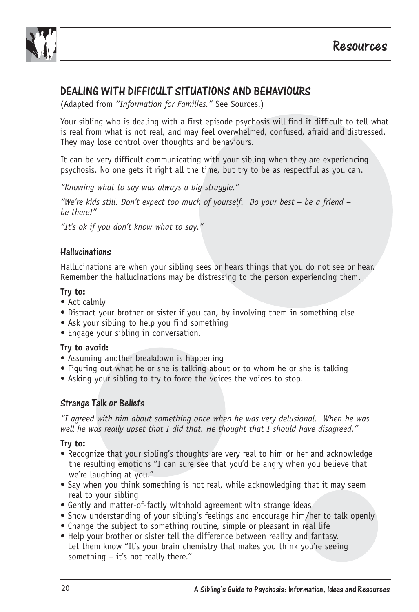



DEALING WITH DIFFICULT SITUATIONS AND BEHAVIOURS (Adapted from *"Information for Families."* See Sources.)

Your sibling who is dealing with a first episode psychosis will find it difficult to tell what is real from what is not real, and may feel overwhelmed, confused, afraid and distressed. They may lose control over thoughts and behaviours.

It can be very difficult communicating with your sibling when they are experiencing psychosis. No one gets it right all the time, but try to be as respectful as you can.

*"Knowing what to say was always a big struggle."*

*"We're kids still. Don't expect too much of yourself. Do your best – be a friend – be there!"*

*"It's ok if you don't know what to say."*

# Hallucinations

Hallucinations are when your sibling sees or hears things that you do not see or hear. Remember the hallucinations may be distressing to the person experiencing them.

#### **Try to:**

- Act calmly
- Distract your brother or sister if you can, by involving them in something else
- Ask your sibling to help you find something
- Engage your sibling in conversation.

#### **Try to avoid:**

- Assuming another breakdown is happening
- Figuring out what he or she is talking about or to whom he or she is talking
- Asking your sibling to try to force the voices the voices to stop.

#### Strange Talk or Beliefs

*"I agreed with him about something once when he was very delusional. When he was well he was really upset that I did that. He thought that I should have disagreed."* 

#### **Try to:**

- Recognize that your sibling's thoughts are very real to him or her and acknowledge the resulting emotions "I can sure see that you'd be angry when you believe that we're laughing at you."
- Say when you think something is not real, while acknowledging that it may seem real to your sibling
- Gently and matter-of-factly withhold agreement with strange ideas
- Show understanding of your sibling's feelings and encourage him/her to talk openly
- Change the subject to something routine, simple or pleasant in real life
- Help your brother or sister tell the difference between reality and fantasy. Let them know "It's your brain chemistry that makes you think you're seeing something – it's not really there."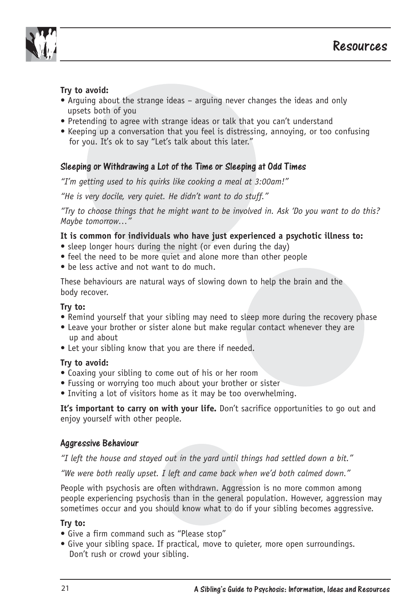

#### **Try to avoid:**

- Arguing about the strange ideas arguing never changes the ideas and only upsets both of you
- Pretending to agree with strange ideas or talk that you can't understand
- Keeping up a conversation that you feel is distressing, annoying, or too confusing for you. It's ok to say "Let's talk about this later."

#### Sleeping or Withdrawing a Lot of the Time or Sleeping at Odd Times

*"I'm getting used to his quirks like cooking a meal at 3:00am!"* 

*"He is very docile, very quiet. He didn't want to do stuff."* 

*"Try to choose things that he might want to be involved in. Ask 'Do you want to do this? Maybe tomorrow…"* 

#### **It is common for individuals who have just experienced a psychotic illness to:**

- sleep longer hours during the night (or even during the day)
- feel the need to be more quiet and alone more than other people
- be less active and not want to do much.

These behaviours are natural ways of slowing down to help the brain and the body recover.

#### **Try to:**

- Remind yourself that your sibling may need to sleep more during the recovery phase
- Leave your brother or sister alone but make regular contact whenever they are up and about
- Let your sibling know that you are there if needed.

#### **Try to avoid:**

- Coaxing your sibling to come out of his or her room
- Fussing or worrying too much about your brother or sister
- Inviting a lot of visitors home as it may be too overwhelming.

It's important to carry on with your life. Don't sacrifice opportunities to go out and enjoy yourself with other people.

#### Aggressive Behaviour

*"I left the house and stayed out in the yard until things had settled down a bit."* 

*"We were both really upset. I left and came back when we'd both calmed down."*

People with psychosis are often withdrawn. Aggression is no more common among people experiencing psychosis than in the general population. However, aggression may sometimes occur and you should know what to do if your sibling becomes aggressive.

#### **Try to:**

- Give a firm command such as "Please stop"
- Give your sibling space. If practical, move to quieter, more open surroundings. Don't rush or crowd your sibling.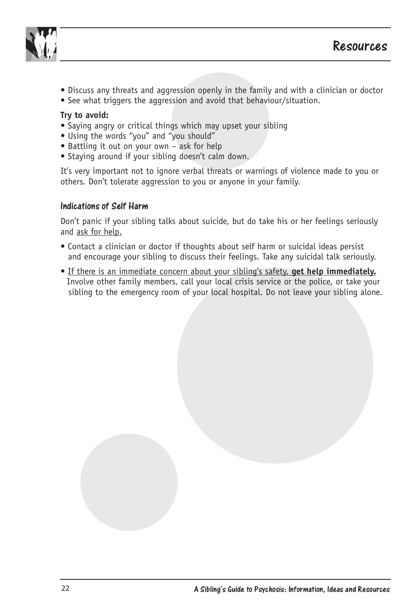



- Discuss any threats and aggression openly in the family and with a clinician or doctor
- See what triggers the aggression and avoid that behaviour/situation.

#### **Try to avoid:**

- Saying angry or critical things which may upset your sibling
- Using the words "you" and "you should"
- Battling it out on your own ask for help
- Staying around if your sibling doesn't calm down.

It's very important not to ignore verbal threats or warnings of violence made to you or others. Don't tolerate aggression to you or anyone in your family.

# Indications of Self Harm

Don't panic if your sibling talks about suicide, but do take his or her feelings seriously and ask for help.

- Contact a clinician or doctor if thoughts about self harm or suicidal ideas persist and encourage your sibling to discuss their feelings. Take any suicidal talk seriously.
- If there is an immediate concern about your sibling's safety, **get help immediately.** Involve other family members, call your local crisis service or the police, or take your sibling to the emergency room of your local hospital. Do not leave your sibling alone.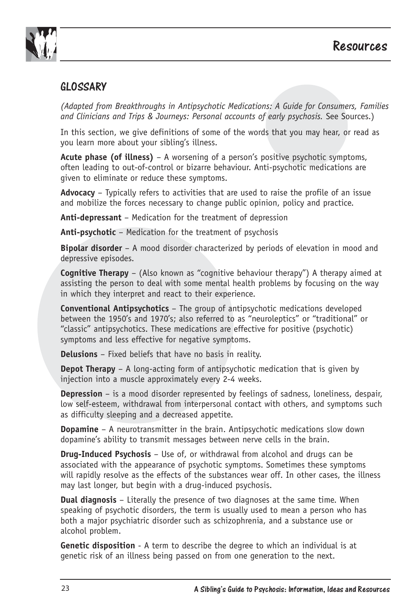



## GLOSSARY

*(Adapted from Breakthroughs in Antipsychotic Medications: A Guide for Consumers, Families and Clinicians and Trips & Journeys: Personal accounts of early psychosis.* See Sources.)

In this section, we give definitions of some of the words that you may hear, or read as you learn more about your sibling's illness.

**Acute phase (of illness)** – A worsening of a person's positive psychotic symptoms, often leading to out-of-control or bizarre behaviour. Anti-psychotic medications are given to eliminate or reduce these symptoms.

**Advocacy** – Typically refers to activities that are used to raise the profile of an issue and mobilize the forces necessary to change public opinion, policy and practice.

**Anti-depressant** – Medication for the treatment of depression

**Anti-psychotic** – Medication for the treatment of psychosis

**Bipolar disorder** – A mood disorder characterized by periods of elevation in mood and depressive episodes.

**Cognitive Therapy** – (Also known as "cognitive behaviour therapy") A therapy aimed at assisting the person to deal with some mental health problems by focusing on the way in which they interpret and react to their experience.

**Conventional Antipsychotics** – The group of antipsychotic medications developed between the 1950's and 1970's; also referred to as "neuroleptics" or "traditional" or "classic" antipsychotics. These medications are effective for positive (psychotic) symptoms and less effective for negative symptoms.

**Delusions** – Fixed beliefs that have no basis in reality.

**Depot Therapy** – A long-acting form of antipsychotic medication that is given by injection into a muscle approximately every 2-4 weeks.

**Depression** – is a mood disorder represented by feelings of sadness, loneliness, despair, low self-esteem, withdrawal from interpersonal contact with others, and symptoms such as difficulty sleeping and a decreased appetite.

**Dopamine** – A neurotransmitter in the brain. Antipsychotic medications slow down dopamine's ability to transmit messages between nerve cells in the brain.

**Drug-Induced Psychosis** – Use of, or withdrawal from alcohol and drugs can be associated with the appearance of psychotic symptoms. Sometimes these symptoms will rapidly resolve as the effects of the substances wear off. In other cases, the illness may last longer, but begin with a drug-induced psychosis.

**Dual diagnosis** – Literally the presence of two diagnoses at the same time. When speaking of psychotic disorders, the term is usually used to mean a person who has both a major psychiatric disorder such as schizophrenia, and a substance use or alcohol problem.

**Genetic disposition** - A term to describe the degree to which an individual is at genetic risk of an illness being passed on from one generation to the next.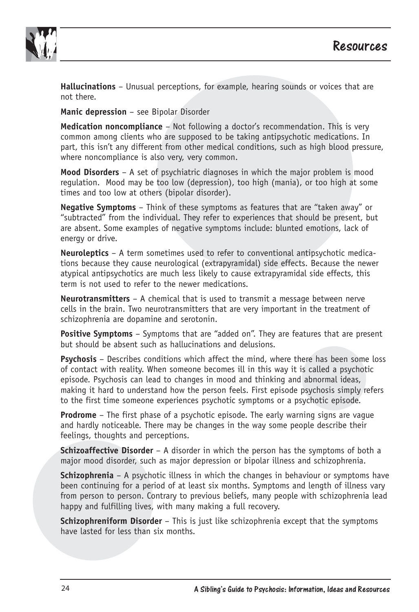



**Hallucinations** – Unusual perceptions, for example, hearing sounds or voices that are not there.

**Manic depression** – see Bipolar Disorder

**Medication noncompliance** – Not following a doctor's recommendation. This is very common among clients who are supposed to be taking antipsychotic medications. In part, this isn't any different from other medical conditions, such as high blood pressure, where noncompliance is also very, very common.

**Mood Disorders** – A set of psychiatric diagnoses in which the major problem is mood regulation. Mood may be too low (depression), too high (mania), or too high at some times and too low at others (bipolar disorder).

**Negative Symptoms** – Think of these symptoms as features that are "taken away" or "subtracted" from the individual. They refer to experiences that should be present, but are absent. Some examples of negative symptoms include: blunted emotions, lack of energy or drive.

**Neuroleptics** – A term sometimes used to refer to conventional antipsychotic medications because they cause neurological (extrapyramidal) side effects. Because the newer atypical antipsychotics are much less likely to cause extrapyramidal side effects, this term is not used to refer to the newer medications.

**Neurotransmitters** – A chemical that is used to transmit a message between nerve cells in the brain. Two neurotransmitters that are very important in the treatment of schizophrenia are dopamine and serotonin.

**Positive Symptoms** – Symptoms that are "added on". They are features that are present but should be absent such as hallucinations and delusions.

**Psychosis** – Describes conditions which affect the mind, where there has been some loss of contact with reality. When someone becomes ill in this way it is called a psychotic episode. Psychosis can lead to changes in mood and thinking and abnormal ideas, making it hard to understand how the person feels. First episode psychosis simply refers to the first time someone experiences psychotic symptoms or a psychotic episode.

**Prodrome** – The first phase of a psychotic episode. The early warning signs are vague and hardly noticeable. There may be changes in the way some people describe their feelings, thoughts and perceptions.

**Schizoaffective Disorder** – A disorder in which the person has the symptoms of both a major mood disorder, such as major depression or bipolar illness and schizophrenia.

**Schizophrenia** – A psychotic illness in which the changes in behaviour or symptoms have been continuing for a period of at least six months. Symptoms and length of illness vary from person to person. Contrary to previous beliefs, many people with schizophrenia lead happy and fulfilling lives, with many making a full recovery.

**Schizophreniform Disorder** – This is just like schizophrenia except that the symptoms have lasted for less than six months.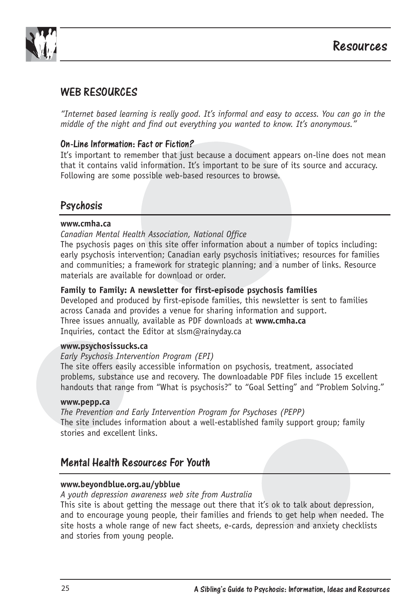

## WEB RESOURCES

*"Internet based learning is really good. It's informal and easy to access. You can go in the middle of the night and find out everything you wanted to know. It's anonymous."*

On-Line Information: Fact or Fiction? It's important to remember that just because a document appears on-line does not mean that it contains valid information. It's important to be sure of its source and accuracy. Following are some possible web-based resources to browse.

#### Psychosis

#### **www.cmha.ca**

#### *Canadian Mental Health Association, National Office*

The psychosis pages on this site offer information about a number of topics including: early psychosis intervention; Canadian early psychosis initiatives; resources for families and communities; a framework for strategic planning; and a number of links. Resource materials are available for download or order.

#### **Family to Family: A newsletter for first-episode psychosis families**

Developed and produced by first-episode families, this newsletter is sent to families across Canada and provides a venue for sharing information and support. Three issues annually, available as PDF downloads at **www.cmha.ca**  Inquiries, contact the Editor at slsm@rainyday.ca

#### **www.psychosissucks.ca**

#### *Early Psychosis Intervention Program (EPI)*

The site offers easily accessible information on psychosis, treatment, associated problems, substance use and recovery. The downloadable PDF files include 15 excellent handouts that range from "What is psychosis?" to "Goal Setting" and "Problem Solving."

#### **www.pepp.ca**

*The Prevention and Early Intervention Program for Psychoses (PEPP)* The site includes information about a well-established family support group; family stories and excellent links.

#### Mental Health Resources For Youth

#### **www.beyondblue.org.au/ybblue**

*A youth depression awareness web site from Australia* 

This site is about getting the message out there that it's ok to talk about depression, and to encourage young people, their families and friends to get help when needed. The site hosts a whole range of new fact sheets, e-cards, depression and anxiety checklists and stories from young people.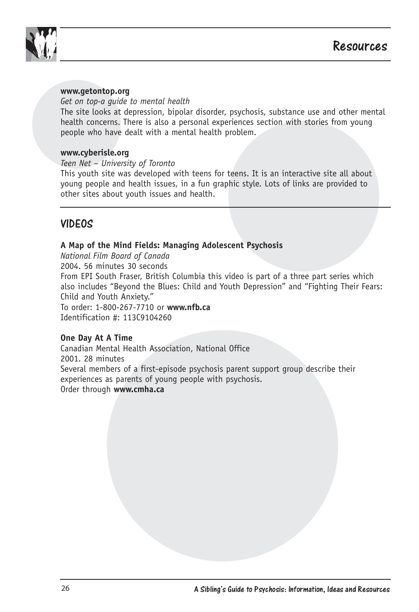

#### **www.getontop.org**

#### *Get on top-a guide to mental health*

The site looks at depression, bipolar disorder, psychosis, substance use and other mental health concerns. There is also a personal experiences section with stories from young people who have dealt with a mental health problem.

#### **www.cyberisle.org**

*Teen Net – University of Toronto*

This youth site was developed with teens for teens. It is an interactive site all about young people and health issues, in a fun graphic style. Lots of links are provided to other sites about youth issues and health.

## VIDEOS

#### **A Map of the Mind Fields: Managing Adolescent Psychosis**

*National Film Board of Canada* 2004. 56 minutes 30 seconds From EPI South Fraser, British Columbia this video is part of a three part series which also includes "Beyond the Blues: Child and Youth Depression" and "Fighting Their Fears: Child and Youth Anxiety." To order: 1-800-267-7710 or **www.nfb.ca**  Identification #: 113C9104260

#### **One Day At A Time**

Canadian Mental Health Association, National Office 2001. 28 minutes Several members of a first-episode psychosis parent support group describe their experiences as parents of young people with psychosis. Order through **www.cmha.ca**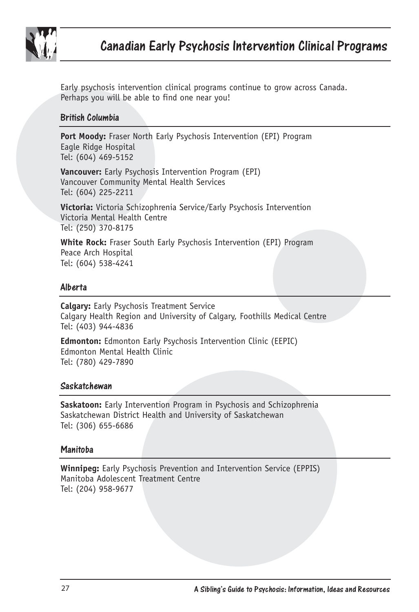

Early psychosis intervention clinical programs continue to grow across Canada. Perhaps you will be able to find one near you!

#### British Columbia

**Port Moody:** Fraser North Early Psychosis Intervention (EPI) Program Eagle Ridge Hospital Tel: (604) 469-5152

**Vancouver:** Early Psychosis Intervention Program (EPI) Vancouver Community Mental Health Services Tel: (604) 225-2211

**Victoria:** Victoria Schizophrenia Service/Early Psychosis Intervention Victoria Mental Health Centre Tel: (250) 370-8175

**White Rock:** Fraser South Early Psychosis Intervention (EPI) Program Peace Arch Hospital Tel: (604) 538-4241

#### Alberta

**Calgary:** Early Psychosis Treatment Service Calgary Health Region and University of Calgary, Foothills Medical Centre Tel: (403) 944-4836

**Edmonton:** Edmonton Early Psychosis Intervention Clinic (EEPIC) Edmonton Mental Health Clinic Tel: (780) 429-7890

#### Saskatchewan

**Saskatoon:** Early Intervention Program in Psychosis and Schizophrenia Saskatchewan District Health and University of Saskatchewan Tel: (306) 655-6686

#### Manitoba

**Winnipeg:** Early Psychosis Prevention and Intervention Service (EPPIS) Manitoba Adolescent Treatment Centre Tel: (204) 958-9677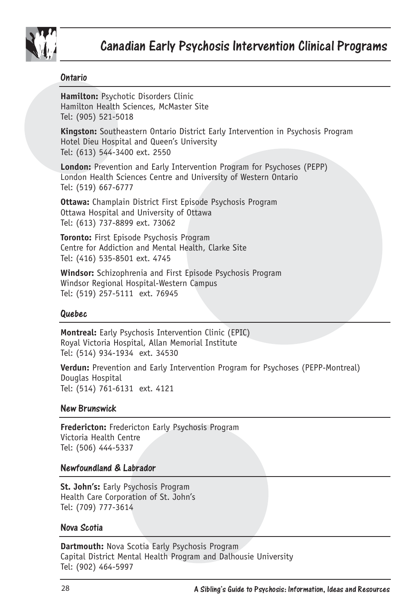

#### Ontario

**Hamilton:** Psychotic Disorders Clinic Hamilton Health Sciences, McMaster Site Tel: (905) 521-5018

**Kingston:** Southeastern Ontario District Early Intervention in Psychosis Program Hotel Dieu Hospital and Queen's University Tel: (613) 544-3400 ext. 2550

**London:** Prevention and Early Intervention Program for Psychoses (PEPP) London Health Sciences Centre and University of Western Ontario Tel: (519) 667-6777

**Ottawa:** Champlain District First Episode Psychosis Program Ottawa Hospital and University of Ottawa Tel: (613) 737-8899 ext. 73062

**Toronto:** First Episode Psychosis Program Centre for Addiction and Mental Health, Clarke Site Tel: (416) 535-8501 ext. 4745

**Windsor:** Schizophrenia and First Episode Psychosis Program Windsor Regional Hospital-Western Campus Tel: (519) 257-5111 ext. 76945

#### Quebec

**Montreal:** Early Psychosis Intervention Clinic (EPIC) Royal Victoria Hospital, Allan Memorial Institute Tel: (514) 934-1934 ext. 34530

**Verdun:** Prevention and Early Intervention Program for Psychoses (PEPP-Montreal) Douglas Hospital Tel: (514) 761-6131 ext. 4121

# New Brunswick

**Fredericton:** Fredericton Early Psychosis Program Victoria Health Centre Tel: (506) 444-5337

#### Newfoundland & Labrador

**St. John's:** Early Psychosis Program Health Care Corporation of St. John's Tel: (709) 777-3614

#### Nova Scotia

**Dartmouth:** Nova Scotia Early Psychosis Program Capital District Mental Health Program and Dalhousie University Tel: (902) 464-5997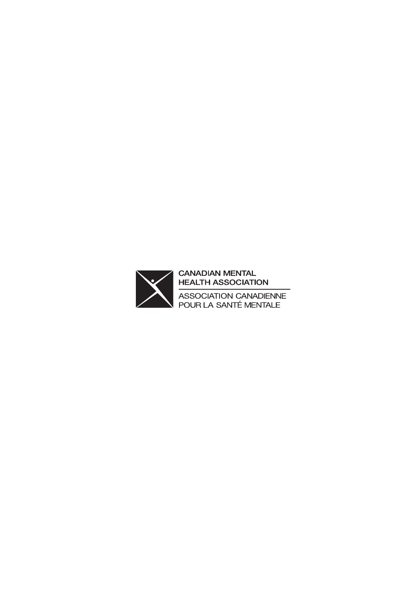